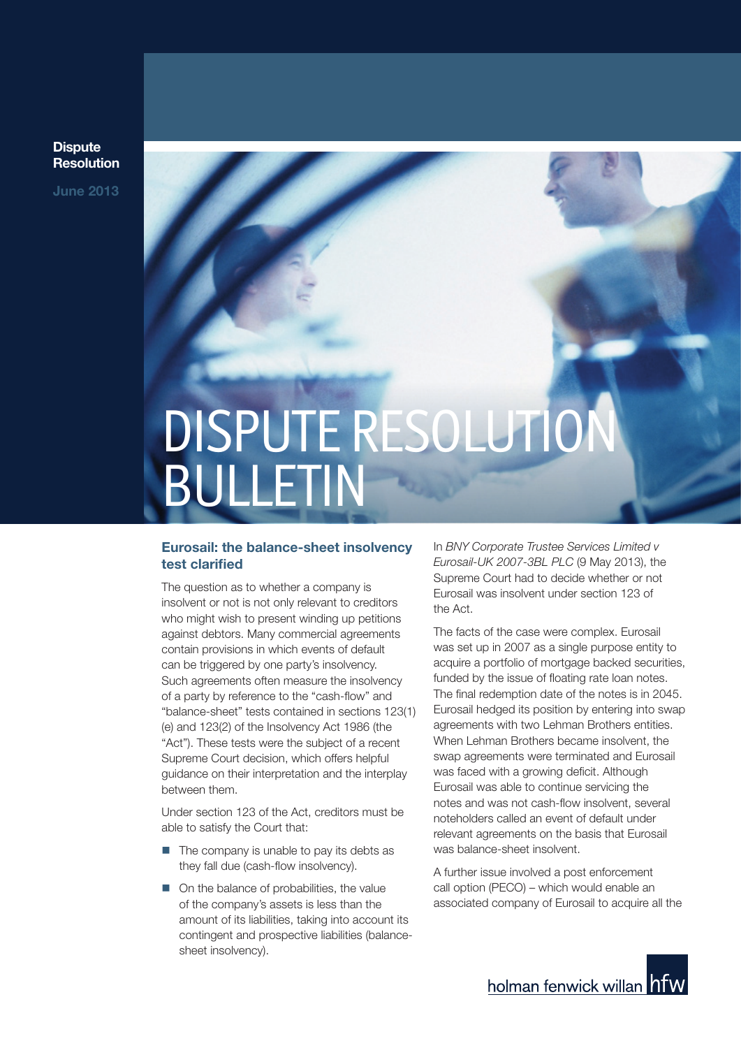**Dispute Resolution**

**June 2013**

# DISPUTE RESOLUTION BULLETIN

### **Eurosail: the balance-sheet insolvency test clarified**

The question as to whether a company is insolvent or not is not only relevant to creditors who might wish to present winding up petitions against debtors. Many commercial agreements contain provisions in which events of default can be triggered by one party's insolvency. Such agreements often measure the insolvency of a party by reference to the "cash-flow" and "balance-sheet" tests contained in sections 123(1) (e) and 123(2) of the Insolvency Act 1986 (the "Act"). These tests were the subject of a recent Supreme Court decision, which offers helpful guidance on their interpretation and the interplay between them.

Under section 123 of the Act, creditors must be able to satisfy the Court that:

- The company is unable to pay its debts as they fall due (cash-flow insolvency).
- $\Box$  On the balance of probabilities, the value of the company's assets is less than the amount of its liabilities, taking into account its contingent and prospective liabilities (balancesheet insolvency).

In *BNY Corporate Trustee Services Limited v Eurosail-UK 2007-3BL PLC* (9 May 2013), the Supreme Court had to decide whether or not Eurosail was insolvent under section 123 of the Act.

The facts of the case were complex. Eurosail was set up in 2007 as a single purpose entity to acquire a portfolio of mortgage backed securities, funded by the issue of floating rate loan notes. The final redemption date of the notes is in 2045. Eurosail hedged its position by entering into swap agreements with two Lehman Brothers entities. When Lehman Brothers became insolvent, the swap agreements were terminated and Eurosail was faced with a growing deficit. Although Eurosail was able to continue servicing the notes and was not cash-flow insolvent, several noteholders called an event of default under relevant agreements on the basis that Eurosail was balance-sheet insolvent.

A further issue involved a post enforcement call option (PECO) – which would enable an associated company of Eurosail to acquire all the

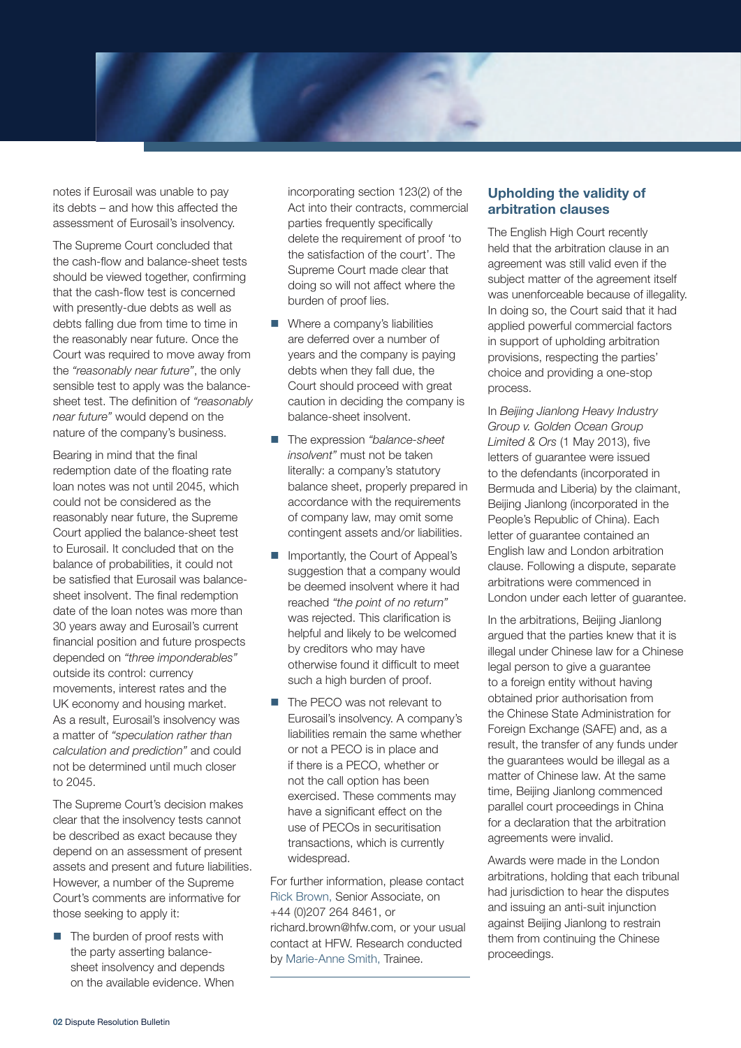notes if Eurosail was unable to pay its debts – and how this affected the assessment of Eurosail's insolvency.

The Supreme Court concluded that the cash-flow and balance-sheet tests should be viewed together, confirming that the cash-flow test is concerned with presently-due debts as well as debts falling due from time to time in the reasonably near future. Once the Court was required to move away from the *"reasonably near future"*, the only sensible test to apply was the balancesheet test. The definition of *"reasonably near future"* would depend on the nature of the company's business.

Bearing in mind that the final redemption date of the floating rate loan notes was not until 2045, which could not be considered as the reasonably near future, the Supreme Court applied the balance-sheet test to Eurosail. It concluded that on the balance of probabilities, it could not be satisfied that Eurosail was balancesheet insolvent. The final redemption date of the loan notes was more than 30 years away and Eurosail's current financial position and future prospects depended on *"three imponderables"* outside its control: currency movements, interest rates and the UK economy and housing market. As a result, Eurosail's insolvency was a matter of *"speculation rather than calculation and prediction"* and could not be determined until much closer to 2045.

The Supreme Court's decision makes clear that the insolvency tests cannot be described as exact because they depend on an assessment of present assets and present and future liabilities. However, a number of the Supreme Court's comments are informative for those seeking to apply it:

 $\blacksquare$  The burden of proof rests with the party asserting balancesheet insolvency and depends on the available evidence. When incorporating section 123(2) of the Act into their contracts, commercial parties frequently specifically delete the requirement of proof 'to the satisfaction of the court'. The Supreme Court made clear that doing so will not affect where the burden of proof lies.

- $\blacksquare$  Where a company's liabilities are deferred over a number of years and the company is paying debts when they fall due, the Court should proceed with great caution in deciding the company is balance-sheet insolvent.
- The expression *"balance-sheet insolvent"* must not be taken literally: a company's statutory balance sheet, properly prepared in accordance with the requirements of company law, may omit some contingent assets and/or liabilities.
- Importantly, the Court of Appeal's suggestion that a company would be deemed insolvent where it had reached *"the point of no return"* was rejected. This clarification is helpful and likely to be welcomed by creditors who may have otherwise found it difficult to meet such a high burden of proof.
- The PECO was not relevant to Eurosail's insolvency. A company's liabilities remain the same whether or not a PECO is in place and if there is a PECO, whether or not the call option has been exercised. These comments may have a significant effect on the use of PECOs in securitisation transactions, which is currently widespread.

For further information, please contact Rick Brown, Senior Associate, on +44 (0)207 264 8461, or richard.brown@hfw.com, or your usual contact at HFW. Research conducted by Marie-Anne Smith, Trainee.

### **Upholding the validity of arbitration clauses**

The English High Court recently held that the arbitration clause in an agreement was still valid even if the subject matter of the agreement itself was unenforceable because of illegality. In doing so, the Court said that it had applied powerful commercial factors in support of upholding arbitration provisions, respecting the parties' choice and providing a one-stop process.

In *Beijing Jianlong Heavy Industry Group v. Golden Ocean Group Limited & Ors* (1 May 2013), five letters of guarantee were issued to the defendants (incorporated in Bermuda and Liberia) by the claimant, Beijing Jianlong (incorporated in the People's Republic of China). Each letter of guarantee contained an English law and London arbitration clause. Following a dispute, separate arbitrations were commenced in London under each letter of guarantee.

In the arbitrations, Beijing Jianlong argued that the parties knew that it is illegal under Chinese law for a Chinese legal person to give a guarantee to a foreign entity without having obtained prior authorisation from the Chinese State Administration for Foreign Exchange (SAFE) and, as a result, the transfer of any funds under the guarantees would be illegal as a matter of Chinese law. At the same time, Beijing Jianlong commenced parallel court proceedings in China for a declaration that the arbitration agreements were invalid.

Awards were made in the London arbitrations, holding that each tribunal had jurisdiction to hear the disputes and issuing an anti-suit injunction against Beijing Jianlong to restrain them from continuing the Chinese proceedings.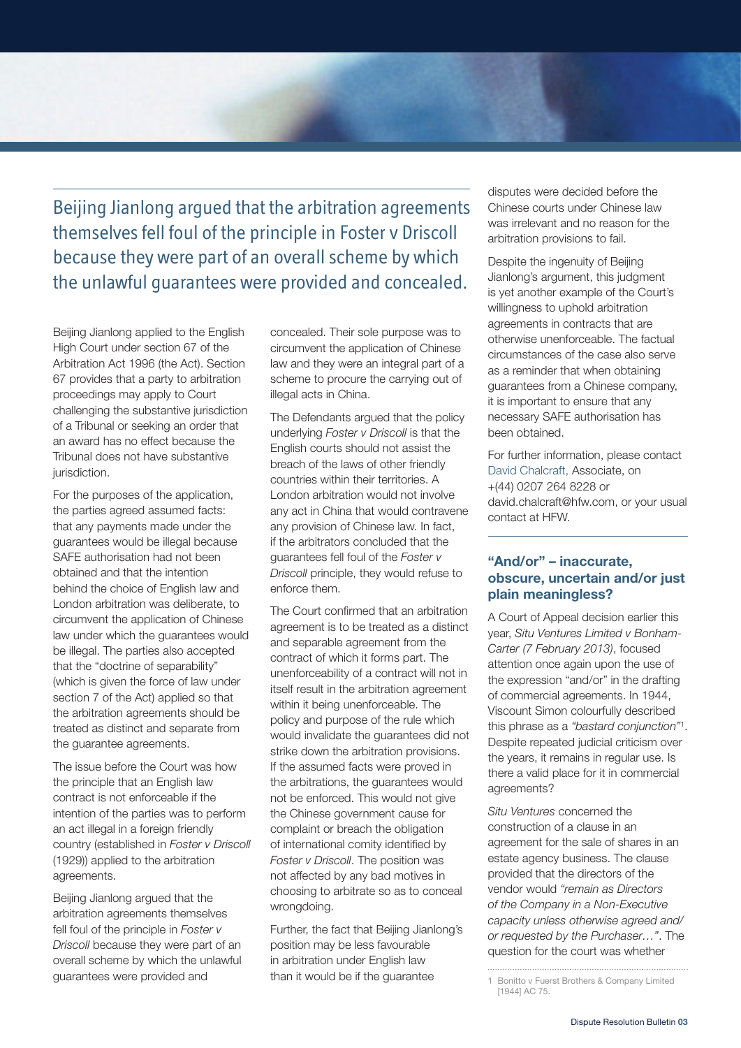Beijing Jianlong argued that the arbitration agreements themselves fell foul of the principle in Foster v Driscoll because they were part of an overall scheme by which the unlawful guarantees were provided and concealed.

Beijing Jianlong applied to the English High Court under section 67 of the Arbitration Act 1996 (the Act). Section 67 provides that a party to arbitration proceedings may apply to Court challenging the substantive jurisdiction of a Tribunal or seeking an order that an award has no effect because the Tribunal does not have substantive jurisdiction.

For the purposes of the application, the parties agreed assumed facts: that any payments made under the guarantees would be illegal because SAFE authorisation had not been obtained and that the intention behind the choice of English law and London arbitration was deliberate, to circumvent the application of Chinese law under which the guarantees would be illegal. The parties also accepted that the "doctrine of separability" (which is given the force of law under section 7 of the Act) applied so that the arbitration agreements should be treated as distinct and separate from the guarantee agreements.

The issue before the Court was how the principle that an English law contract is not enforceable if the intention of the parties was to perform an act illegal in a foreign friendly country (established in *Foster v Driscoll* (1929)) applied to the arbitration agreements.

Beijing Jianlong argued that the arbitration agreements themselves fell foul of the principle in *Foster v Driscoll* because they were part of an overall scheme by which the unlawful guarantees were provided and

concealed. Their sole purpose was to circumvent the application of Chinese law and they were an integral part of a scheme to procure the carrying out of illegal acts in China.

The Defendants argued that the policy underlying *Foster v Driscoll* is that the English courts should not assist the breach of the laws of other friendly countries within their territories. A London arbitration would not involve any act in China that would contravene any provision of Chinese law. In fact, if the arbitrators concluded that the guarantees fell foul of the *Foster v Driscoll* principle, they would refuse to enforce them.

The Court confirmed that an arbitration agreement is to be treated as a distinct and separable agreement from the contract of which it forms part. The unenforceability of a contract will not in itself result in the arbitration agreement within it being unenforceable. The policy and purpose of the rule which would invalidate the guarantees did not strike down the arbitration provisions. If the assumed facts were proved in the arbitrations, the guarantees would not be enforced. This would not give the Chinese government cause for complaint or breach the obligation of international comity identified by *Foster v Driscoll*. The position was not affected by any bad motives in choosing to arbitrate so as to conceal wrongdoing.

Further, the fact that Beijing Jianlong's position may be less favourable in arbitration under English law than it would be if the guarantee

disputes were decided before the Chinese courts under Chinese law was irrelevant and no reason for the arbitration provisions to fail.

Despite the ingenuity of Beijing Jianlong's argument, this judgment is yet another example of the Court's willingness to uphold arbitration agreements in contracts that are otherwise unenforceable. The factual circumstances of the case also serve as a reminder that when obtaining guarantees from a Chinese company, it is important to ensure that any necessary SAFE authorisation has been obtained.

For further information, please contact David Chalcraft, Associate, on +(44) 0207 264 8228 or david.chalcraft@hfw.com, or your usual contact at HFW.

## **"And/or" – inaccurate, obscure, uncertain and/or just plain meaningless?**

A Court of Appeal decision earlier this year, *Situ Ventures Limited v Bonham-Carter (7 February 2013)*, focused attention once again upon the use of the expression "and/or" in the drafting of commercial agreements. In 1944, Viscount Simon colourfully described this phrase as a *"bastard conjunction"*<sup>1</sup> . Despite repeated judicial criticism over the years, it remains in regular use. Is there a valid place for it in commercial agreements?

*Situ Ventures* concerned the construction of a clause in an agreement for the sale of shares in an estate agency business. The clause provided that the directors of the vendor would *"remain as Directors of the Company in a Non-Executive capacity unless otherwise agreed and/ or requested by the Purchaser…"*. The question for the court was whether

<sup>1</sup> Bonitto v Fuerst Brothers & Company Limited

<sup>[1944]</sup> AC 75.